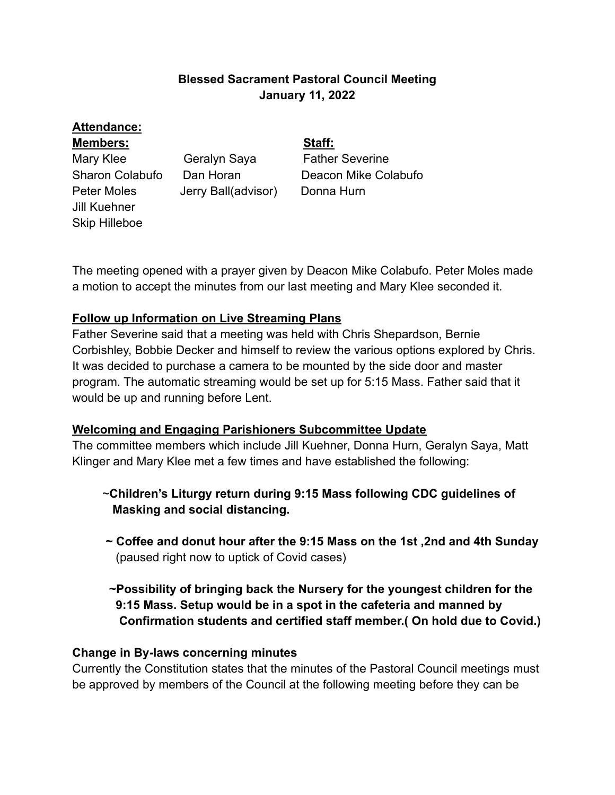# **Blessed Sacrament Pastoral Council Meeting January 11, 2022**

#### **Attendance:**

**Members: Staff:** Jill Kuehner Skip Hilleboe

Mary Klee **Geralyn Saya** Father Severine Peter Moles Jerry Ball(advisor) Donna Hurn

Sharon Colabufo Dan Horan Deacon Mike Colabufo

The meeting opened with a prayer given by Deacon Mike Colabufo. Peter Moles made a motion to accept the minutes from our last meeting and Mary Klee seconded it.

# **Follow up Information on Live Streaming Plans**

Father Severine said that a meeting was held with Chris Shepardson, Bernie Corbishley, Bobbie Decker and himself to review the various options explored by Chris. It was decided to purchase a camera to be mounted by the side door and master program. The automatic streaming would be set up for 5:15 Mass. Father said that it would be up and running before Lent.

# **Welcoming and Engaging Parishioners Subcommittee Update**

The committee members which include Jill Kuehner, Donna Hurn, Geralyn Saya, Matt Klinger and Mary Klee met a few times and have established the following:

- ~**Children's Liturgy return during 9:15 Mass following CDC guidelines of Masking and social distancing.**
- **~ Coffee and donut hour after the 9:15 Mass on the 1st ,2nd and 4th Sunday** (paused right now to uptick of Covid cases)
- **~Possibility of bringing back the Nursery for the youngest children for the 9:15 Mass. Setup would be in a spot in the cafeteria and manned by Confirmation students and certified staff member.( On hold due to Covid.)**

# **Change in By-laws concerning minutes**

Currently the Constitution states that the minutes of the Pastoral Council meetings must be approved by members of the Council at the following meeting before they can be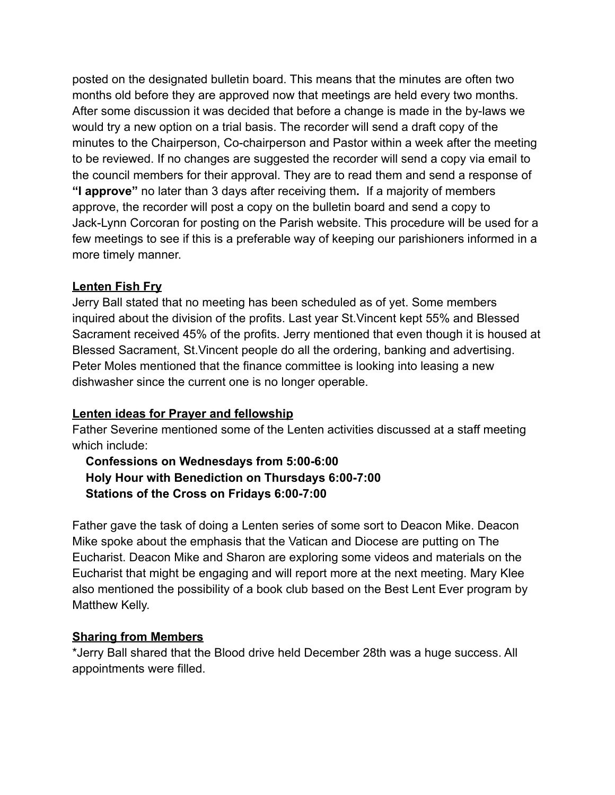posted on the designated bulletin board. This means that the minutes are often two months old before they are approved now that meetings are held every two months. After some discussion it was decided that before a change is made in the by-laws we would try a new option on a trial basis. The recorder will send a draft copy of the minutes to the Chairperson, Co-chairperson and Pastor within a week after the meeting to be reviewed. If no changes are suggested the recorder will send a copy via email to the council members for their approval. They are to read them and send a response of **"I approve"** no later than 3 days after receiving them**.** If a majority of members approve, the recorder will post a copy on the bulletin board and send a copy to Jack-Lynn Corcoran for posting on the Parish website. This procedure will be used for a few meetings to see if this is a preferable way of keeping our parishioners informed in a more timely manner.

#### **Lenten Fish Fry**

Jerry Ball stated that no meeting has been scheduled as of yet. Some members inquired about the division of the profits. Last year St.Vincent kept 55% and Blessed Sacrament received 45% of the profits. Jerry mentioned that even though it is housed at Blessed Sacrament, St.Vincent people do all the ordering, banking and advertising. Peter Moles mentioned that the finance committee is looking into leasing a new dishwasher since the current one is no longer operable.

# **Lenten ideas for Prayer and fellowship**

Father Severine mentioned some of the Lenten activities discussed at a staff meeting which include:

# **Confessions on Wednesdays from 5:00-6:00 Holy Hour with Benediction on Thursdays 6:00-7:00 Stations of the Cross on Fridays 6:00-7:00**

Father gave the task of doing a Lenten series of some sort to Deacon Mike. Deacon Mike spoke about the emphasis that the Vatican and Diocese are putting on The Eucharist. Deacon Mike and Sharon are exploring some videos and materials on the Eucharist that might be engaging and will report more at the next meeting. Mary Klee also mentioned the possibility of a book club based on the Best Lent Ever program by Matthew Kelly.

# **Sharing from Members**

\*Jerry Ball shared that the Blood drive held December 28th was a huge success. All appointments were filled.